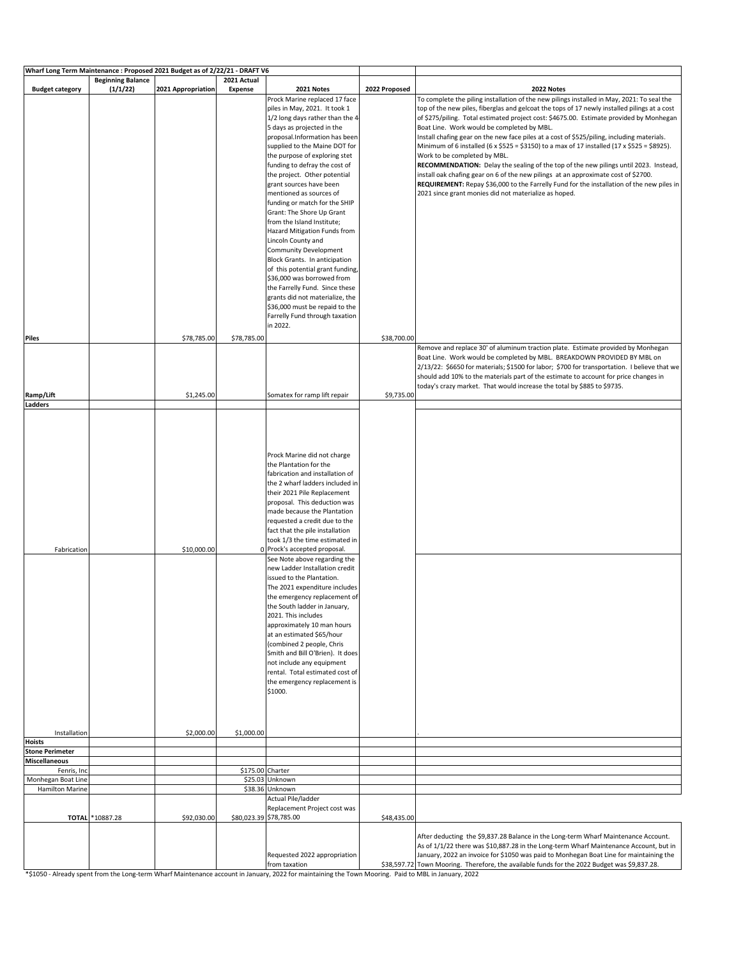| <b>Budget category</b><br>(1/1/22)<br>2021 Appropriation<br>Expense<br>2022 Proposed<br>2021 Notes<br>2022 Notes<br>To complete the piling installation of the new pilings installed in May, 2021: To seal the<br>Prock Marine replaced 17 face<br>piles in May, 2021. It took 1<br>top of the new piles, fiberglas and gelcoat the tops of 17 newly installed pilings at a cost<br>of \$275/piling. Total estimated project cost: \$4675.00. Estimate provided by Monhegan<br>1/2 long days rather than the 4<br>5 days as projected in the<br>Boat Line. Work would be completed by MBL.<br>proposal.Information has been<br>Install chafing gear on the new face piles at a cost of \$525/piling, including materials.<br>supplied to the Maine DOT for<br>Minimum of 6 installed (6 x \$525 = \$3150) to a max of 17 installed (17 x \$525 = \$8925).<br>the purpose of exploring stet<br>Work to be completed by MBL.<br>RECOMMENDATION: Delay the sealing of the top of the new pilings until 2023. Instead,<br>funding to defray the cost of<br>the project. Other potential<br>install oak chafing gear on 6 of the new pilings at an approximate cost of \$2700.<br>REQUIREMENT: Repay \$36,000 to the Farrelly Fund for the installation of the new piles in<br>grant sources have been<br>mentioned as sources of<br>2021 since grant monies did not materialize as hoped.<br>funding or match for the SHIP<br>Grant: The Shore Up Grant<br>from the Island Institute;<br>Hazard Mitigation Funds from<br>Lincoln County and<br>Community Development<br>Block Grants. In anticipation<br>of this potential grant funding,<br>\$36,000 was borrowed from<br>the Farrelly Fund. Since these<br>grants did not materialize, the<br>\$36,000 must be repaid to the<br>Farrelly Fund through taxation<br>in 2022.<br>\$78,785.00<br>\$78,785.00<br>\$38,700.00<br>Piles<br>Remove and replace 30' of aluminum traction plate. Estimate provided by Monhegan<br>Boat Line. Work would be completed by MBL. BREAKDOWN PROVIDED BY MBL on<br>should add 10% to the materials part of the estimate to account for price changes in<br>today's crazy market. That would increase the total by \$885 to \$9735.<br>Somatex for ramp lift repair<br>Ramp/Lift<br>\$1,245.00<br>\$9,735.00<br>Ladders<br>Prock Marine did not charge<br>the Plantation for the<br>fabrication and installation of<br>the 2 wharf ladders included in<br>their 2021 Pile Replacement<br>proposal. This deduction was<br>made because the Plantation<br>requested a credit due to the<br>fact that the pile installation<br>took 1/3 the time estimated in<br>\$10,000.00<br>0 Prock's accepted proposal.<br>Fabrication<br>See Note above regarding the<br>new Ladder Installation credit<br>issued to the Plantation.<br>The 2021 expenditure includes<br>the emergency replacement of<br>the South ladder in January,<br>2021. This includes<br>approximately 10 man hours<br>at an estimated \$65/hour<br>(combined 2 people, Chris<br>Smith and Bill O'Brien). It does<br>not include any equipment<br>rental. Total estimated cost of<br>the emergency replacement is<br>\$1000.<br>\$2,000.00<br>\$1,000.00<br>Installation<br><b>Stone Perimeter</b><br><b>Miscellaneous</b><br>\$175.00 Charter<br>Fenris, Inc<br>Monhegan Boat Line<br>\$25.03 Unknown<br><b>Hamilton Marine</b><br>\$38.36 Unknown<br>Actual Pile/ladder<br>Replacement Project cost was<br>\$80,023.39 \$78,785.00<br>TOTAL *10887.28<br>\$92,030.00<br>\$48,435.00<br>After deducting the \$9,837.28 Balance in the Long-term Wharf Maintenance Account.<br>As of 1/1/22 there was \$10,887.28 in the Long-term Wharf Maintenance Account, but in<br>Requested 2022 appropriation<br>January, 2022 an invoice for \$1050 was paid to Monhegan Boat Line for maintaining the<br>\$38,597.72 Town Mooring. Therefore, the available funds for the 2022 Budget was \$9,837.28.<br>from taxation<br>*\$1050 - Already spent from the Long-term Wharf Maintenance account in January, 2022 for maintaining the Town Mooring. Paid to MBL in January, 2022 | Wharf Long Term Maintenance : Proposed 2021 Budget as of 2/22/21 - DRAFT V6 |                          |             |  |                                                                                              |
|----------------------------------------------------------------------------------------------------------------------------------------------------------------------------------------------------------------------------------------------------------------------------------------------------------------------------------------------------------------------------------------------------------------------------------------------------------------------------------------------------------------------------------------------------------------------------------------------------------------------------------------------------------------------------------------------------------------------------------------------------------------------------------------------------------------------------------------------------------------------------------------------------------------------------------------------------------------------------------------------------------------------------------------------------------------------------------------------------------------------------------------------------------------------------------------------------------------------------------------------------------------------------------------------------------------------------------------------------------------------------------------------------------------------------------------------------------------------------------------------------------------------------------------------------------------------------------------------------------------------------------------------------------------------------------------------------------------------------------------------------------------------------------------------------------------------------------------------------------------------------------------------------------------------------------------------------------------------------------------------------------------------------------------------------------------------------------------------------------------------------------------------------------------------------------------------------------------------------------------------------------------------------------------------------------------------------------------------------------------------------------------------------------------------------------------------------------------------------------------------------------------------------------------------------------------------------------------------------------------------------------------------------------------------------------------------------------------------------------------------------------------------------------------------------------------------------------------------------------------------------------------------------------------------------------------------------------------------------------------------------------------------------------------------------------------------------------------------------------------------------------------------------------------------------------------------------------------------------------------------------------------------------------------------------------------------------------------------------------------------------------------------------------------------------------------------------------------------------------------------------------------------------------------------------------------------------------------------------------------------------------------------------------------------------------------------------------------------------------------------------------------------------------------------------------------------------------------------------------------------------------------------------------------------------------------------------------------------------------------------------------------------------------------------------------------------------------------------------------------|-----------------------------------------------------------------------------|--------------------------|-------------|--|----------------------------------------------------------------------------------------------|
|                                                                                                                                                                                                                                                                                                                                                                                                                                                                                                                                                                                                                                                                                                                                                                                                                                                                                                                                                                                                                                                                                                                                                                                                                                                                                                                                                                                                                                                                                                                                                                                                                                                                                                                                                                                                                                                                                                                                                                                                                                                                                                                                                                                                                                                                                                                                                                                                                                                                                                                                                                                                                                                                                                                                                                                                                                                                                                                                                                                                                                                                                                                                                                                                                                                                                                                                                                                                                                                                                                                                                                                                                                                                                                                                                                                                                                                                                                                                                                                                                                                                                                                |                                                                             | <b>Beginning Balance</b> | 2021 Actual |  |                                                                                              |
|                                                                                                                                                                                                                                                                                                                                                                                                                                                                                                                                                                                                                                                                                                                                                                                                                                                                                                                                                                                                                                                                                                                                                                                                                                                                                                                                                                                                                                                                                                                                                                                                                                                                                                                                                                                                                                                                                                                                                                                                                                                                                                                                                                                                                                                                                                                                                                                                                                                                                                                                                                                                                                                                                                                                                                                                                                                                                                                                                                                                                                                                                                                                                                                                                                                                                                                                                                                                                                                                                                                                                                                                                                                                                                                                                                                                                                                                                                                                                                                                                                                                                                                |                                                                             |                          |             |  |                                                                                              |
|                                                                                                                                                                                                                                                                                                                                                                                                                                                                                                                                                                                                                                                                                                                                                                                                                                                                                                                                                                                                                                                                                                                                                                                                                                                                                                                                                                                                                                                                                                                                                                                                                                                                                                                                                                                                                                                                                                                                                                                                                                                                                                                                                                                                                                                                                                                                                                                                                                                                                                                                                                                                                                                                                                                                                                                                                                                                                                                                                                                                                                                                                                                                                                                                                                                                                                                                                                                                                                                                                                                                                                                                                                                                                                                                                                                                                                                                                                                                                                                                                                                                                                                |                                                                             |                          |             |  |                                                                                              |
|                                                                                                                                                                                                                                                                                                                                                                                                                                                                                                                                                                                                                                                                                                                                                                                                                                                                                                                                                                                                                                                                                                                                                                                                                                                                                                                                                                                                                                                                                                                                                                                                                                                                                                                                                                                                                                                                                                                                                                                                                                                                                                                                                                                                                                                                                                                                                                                                                                                                                                                                                                                                                                                                                                                                                                                                                                                                                                                                                                                                                                                                                                                                                                                                                                                                                                                                                                                                                                                                                                                                                                                                                                                                                                                                                                                                                                                                                                                                                                                                                                                                                                                |                                                                             |                          |             |  |                                                                                              |
|                                                                                                                                                                                                                                                                                                                                                                                                                                                                                                                                                                                                                                                                                                                                                                                                                                                                                                                                                                                                                                                                                                                                                                                                                                                                                                                                                                                                                                                                                                                                                                                                                                                                                                                                                                                                                                                                                                                                                                                                                                                                                                                                                                                                                                                                                                                                                                                                                                                                                                                                                                                                                                                                                                                                                                                                                                                                                                                                                                                                                                                                                                                                                                                                                                                                                                                                                                                                                                                                                                                                                                                                                                                                                                                                                                                                                                                                                                                                                                                                                                                                                                                |                                                                             |                          |             |  |                                                                                              |
|                                                                                                                                                                                                                                                                                                                                                                                                                                                                                                                                                                                                                                                                                                                                                                                                                                                                                                                                                                                                                                                                                                                                                                                                                                                                                                                                                                                                                                                                                                                                                                                                                                                                                                                                                                                                                                                                                                                                                                                                                                                                                                                                                                                                                                                                                                                                                                                                                                                                                                                                                                                                                                                                                                                                                                                                                                                                                                                                                                                                                                                                                                                                                                                                                                                                                                                                                                                                                                                                                                                                                                                                                                                                                                                                                                                                                                                                                                                                                                                                                                                                                                                |                                                                             |                          |             |  |                                                                                              |
|                                                                                                                                                                                                                                                                                                                                                                                                                                                                                                                                                                                                                                                                                                                                                                                                                                                                                                                                                                                                                                                                                                                                                                                                                                                                                                                                                                                                                                                                                                                                                                                                                                                                                                                                                                                                                                                                                                                                                                                                                                                                                                                                                                                                                                                                                                                                                                                                                                                                                                                                                                                                                                                                                                                                                                                                                                                                                                                                                                                                                                                                                                                                                                                                                                                                                                                                                                                                                                                                                                                                                                                                                                                                                                                                                                                                                                                                                                                                                                                                                                                                                                                |                                                                             |                          |             |  |                                                                                              |
|                                                                                                                                                                                                                                                                                                                                                                                                                                                                                                                                                                                                                                                                                                                                                                                                                                                                                                                                                                                                                                                                                                                                                                                                                                                                                                                                                                                                                                                                                                                                                                                                                                                                                                                                                                                                                                                                                                                                                                                                                                                                                                                                                                                                                                                                                                                                                                                                                                                                                                                                                                                                                                                                                                                                                                                                                                                                                                                                                                                                                                                                                                                                                                                                                                                                                                                                                                                                                                                                                                                                                                                                                                                                                                                                                                                                                                                                                                                                                                                                                                                                                                                |                                                                             |                          |             |  |                                                                                              |
|                                                                                                                                                                                                                                                                                                                                                                                                                                                                                                                                                                                                                                                                                                                                                                                                                                                                                                                                                                                                                                                                                                                                                                                                                                                                                                                                                                                                                                                                                                                                                                                                                                                                                                                                                                                                                                                                                                                                                                                                                                                                                                                                                                                                                                                                                                                                                                                                                                                                                                                                                                                                                                                                                                                                                                                                                                                                                                                                                                                                                                                                                                                                                                                                                                                                                                                                                                                                                                                                                                                                                                                                                                                                                                                                                                                                                                                                                                                                                                                                                                                                                                                |                                                                             |                          |             |  |                                                                                              |
|                                                                                                                                                                                                                                                                                                                                                                                                                                                                                                                                                                                                                                                                                                                                                                                                                                                                                                                                                                                                                                                                                                                                                                                                                                                                                                                                                                                                                                                                                                                                                                                                                                                                                                                                                                                                                                                                                                                                                                                                                                                                                                                                                                                                                                                                                                                                                                                                                                                                                                                                                                                                                                                                                                                                                                                                                                                                                                                                                                                                                                                                                                                                                                                                                                                                                                                                                                                                                                                                                                                                                                                                                                                                                                                                                                                                                                                                                                                                                                                                                                                                                                                |                                                                             |                          |             |  |                                                                                              |
|                                                                                                                                                                                                                                                                                                                                                                                                                                                                                                                                                                                                                                                                                                                                                                                                                                                                                                                                                                                                                                                                                                                                                                                                                                                                                                                                                                                                                                                                                                                                                                                                                                                                                                                                                                                                                                                                                                                                                                                                                                                                                                                                                                                                                                                                                                                                                                                                                                                                                                                                                                                                                                                                                                                                                                                                                                                                                                                                                                                                                                                                                                                                                                                                                                                                                                                                                                                                                                                                                                                                                                                                                                                                                                                                                                                                                                                                                                                                                                                                                                                                                                                |                                                                             |                          |             |  |                                                                                              |
|                                                                                                                                                                                                                                                                                                                                                                                                                                                                                                                                                                                                                                                                                                                                                                                                                                                                                                                                                                                                                                                                                                                                                                                                                                                                                                                                                                                                                                                                                                                                                                                                                                                                                                                                                                                                                                                                                                                                                                                                                                                                                                                                                                                                                                                                                                                                                                                                                                                                                                                                                                                                                                                                                                                                                                                                                                                                                                                                                                                                                                                                                                                                                                                                                                                                                                                                                                                                                                                                                                                                                                                                                                                                                                                                                                                                                                                                                                                                                                                                                                                                                                                |                                                                             |                          |             |  |                                                                                              |
|                                                                                                                                                                                                                                                                                                                                                                                                                                                                                                                                                                                                                                                                                                                                                                                                                                                                                                                                                                                                                                                                                                                                                                                                                                                                                                                                                                                                                                                                                                                                                                                                                                                                                                                                                                                                                                                                                                                                                                                                                                                                                                                                                                                                                                                                                                                                                                                                                                                                                                                                                                                                                                                                                                                                                                                                                                                                                                                                                                                                                                                                                                                                                                                                                                                                                                                                                                                                                                                                                                                                                                                                                                                                                                                                                                                                                                                                                                                                                                                                                                                                                                                |                                                                             |                          |             |  |                                                                                              |
|                                                                                                                                                                                                                                                                                                                                                                                                                                                                                                                                                                                                                                                                                                                                                                                                                                                                                                                                                                                                                                                                                                                                                                                                                                                                                                                                                                                                                                                                                                                                                                                                                                                                                                                                                                                                                                                                                                                                                                                                                                                                                                                                                                                                                                                                                                                                                                                                                                                                                                                                                                                                                                                                                                                                                                                                                                                                                                                                                                                                                                                                                                                                                                                                                                                                                                                                                                                                                                                                                                                                                                                                                                                                                                                                                                                                                                                                                                                                                                                                                                                                                                                |                                                                             |                          |             |  |                                                                                              |
|                                                                                                                                                                                                                                                                                                                                                                                                                                                                                                                                                                                                                                                                                                                                                                                                                                                                                                                                                                                                                                                                                                                                                                                                                                                                                                                                                                                                                                                                                                                                                                                                                                                                                                                                                                                                                                                                                                                                                                                                                                                                                                                                                                                                                                                                                                                                                                                                                                                                                                                                                                                                                                                                                                                                                                                                                                                                                                                                                                                                                                                                                                                                                                                                                                                                                                                                                                                                                                                                                                                                                                                                                                                                                                                                                                                                                                                                                                                                                                                                                                                                                                                |                                                                             |                          |             |  |                                                                                              |
|                                                                                                                                                                                                                                                                                                                                                                                                                                                                                                                                                                                                                                                                                                                                                                                                                                                                                                                                                                                                                                                                                                                                                                                                                                                                                                                                                                                                                                                                                                                                                                                                                                                                                                                                                                                                                                                                                                                                                                                                                                                                                                                                                                                                                                                                                                                                                                                                                                                                                                                                                                                                                                                                                                                                                                                                                                                                                                                                                                                                                                                                                                                                                                                                                                                                                                                                                                                                                                                                                                                                                                                                                                                                                                                                                                                                                                                                                                                                                                                                                                                                                                                |                                                                             |                          |             |  |                                                                                              |
|                                                                                                                                                                                                                                                                                                                                                                                                                                                                                                                                                                                                                                                                                                                                                                                                                                                                                                                                                                                                                                                                                                                                                                                                                                                                                                                                                                                                                                                                                                                                                                                                                                                                                                                                                                                                                                                                                                                                                                                                                                                                                                                                                                                                                                                                                                                                                                                                                                                                                                                                                                                                                                                                                                                                                                                                                                                                                                                                                                                                                                                                                                                                                                                                                                                                                                                                                                                                                                                                                                                                                                                                                                                                                                                                                                                                                                                                                                                                                                                                                                                                                                                |                                                                             |                          |             |  |                                                                                              |
|                                                                                                                                                                                                                                                                                                                                                                                                                                                                                                                                                                                                                                                                                                                                                                                                                                                                                                                                                                                                                                                                                                                                                                                                                                                                                                                                                                                                                                                                                                                                                                                                                                                                                                                                                                                                                                                                                                                                                                                                                                                                                                                                                                                                                                                                                                                                                                                                                                                                                                                                                                                                                                                                                                                                                                                                                                                                                                                                                                                                                                                                                                                                                                                                                                                                                                                                                                                                                                                                                                                                                                                                                                                                                                                                                                                                                                                                                                                                                                                                                                                                                                                |                                                                             |                          |             |  |                                                                                              |
|                                                                                                                                                                                                                                                                                                                                                                                                                                                                                                                                                                                                                                                                                                                                                                                                                                                                                                                                                                                                                                                                                                                                                                                                                                                                                                                                                                                                                                                                                                                                                                                                                                                                                                                                                                                                                                                                                                                                                                                                                                                                                                                                                                                                                                                                                                                                                                                                                                                                                                                                                                                                                                                                                                                                                                                                                                                                                                                                                                                                                                                                                                                                                                                                                                                                                                                                                                                                                                                                                                                                                                                                                                                                                                                                                                                                                                                                                                                                                                                                                                                                                                                |                                                                             |                          |             |  |                                                                                              |
|                                                                                                                                                                                                                                                                                                                                                                                                                                                                                                                                                                                                                                                                                                                                                                                                                                                                                                                                                                                                                                                                                                                                                                                                                                                                                                                                                                                                                                                                                                                                                                                                                                                                                                                                                                                                                                                                                                                                                                                                                                                                                                                                                                                                                                                                                                                                                                                                                                                                                                                                                                                                                                                                                                                                                                                                                                                                                                                                                                                                                                                                                                                                                                                                                                                                                                                                                                                                                                                                                                                                                                                                                                                                                                                                                                                                                                                                                                                                                                                                                                                                                                                |                                                                             |                          |             |  |                                                                                              |
|                                                                                                                                                                                                                                                                                                                                                                                                                                                                                                                                                                                                                                                                                                                                                                                                                                                                                                                                                                                                                                                                                                                                                                                                                                                                                                                                                                                                                                                                                                                                                                                                                                                                                                                                                                                                                                                                                                                                                                                                                                                                                                                                                                                                                                                                                                                                                                                                                                                                                                                                                                                                                                                                                                                                                                                                                                                                                                                                                                                                                                                                                                                                                                                                                                                                                                                                                                                                                                                                                                                                                                                                                                                                                                                                                                                                                                                                                                                                                                                                                                                                                                                |                                                                             |                          |             |  |                                                                                              |
|                                                                                                                                                                                                                                                                                                                                                                                                                                                                                                                                                                                                                                                                                                                                                                                                                                                                                                                                                                                                                                                                                                                                                                                                                                                                                                                                                                                                                                                                                                                                                                                                                                                                                                                                                                                                                                                                                                                                                                                                                                                                                                                                                                                                                                                                                                                                                                                                                                                                                                                                                                                                                                                                                                                                                                                                                                                                                                                                                                                                                                                                                                                                                                                                                                                                                                                                                                                                                                                                                                                                                                                                                                                                                                                                                                                                                                                                                                                                                                                                                                                                                                                |                                                                             |                          |             |  |                                                                                              |
|                                                                                                                                                                                                                                                                                                                                                                                                                                                                                                                                                                                                                                                                                                                                                                                                                                                                                                                                                                                                                                                                                                                                                                                                                                                                                                                                                                                                                                                                                                                                                                                                                                                                                                                                                                                                                                                                                                                                                                                                                                                                                                                                                                                                                                                                                                                                                                                                                                                                                                                                                                                                                                                                                                                                                                                                                                                                                                                                                                                                                                                                                                                                                                                                                                                                                                                                                                                                                                                                                                                                                                                                                                                                                                                                                                                                                                                                                                                                                                                                                                                                                                                |                                                                             |                          |             |  |                                                                                              |
|                                                                                                                                                                                                                                                                                                                                                                                                                                                                                                                                                                                                                                                                                                                                                                                                                                                                                                                                                                                                                                                                                                                                                                                                                                                                                                                                                                                                                                                                                                                                                                                                                                                                                                                                                                                                                                                                                                                                                                                                                                                                                                                                                                                                                                                                                                                                                                                                                                                                                                                                                                                                                                                                                                                                                                                                                                                                                                                                                                                                                                                                                                                                                                                                                                                                                                                                                                                                                                                                                                                                                                                                                                                                                                                                                                                                                                                                                                                                                                                                                                                                                                                |                                                                             |                          |             |  |                                                                                              |
|                                                                                                                                                                                                                                                                                                                                                                                                                                                                                                                                                                                                                                                                                                                                                                                                                                                                                                                                                                                                                                                                                                                                                                                                                                                                                                                                                                                                                                                                                                                                                                                                                                                                                                                                                                                                                                                                                                                                                                                                                                                                                                                                                                                                                                                                                                                                                                                                                                                                                                                                                                                                                                                                                                                                                                                                                                                                                                                                                                                                                                                                                                                                                                                                                                                                                                                                                                                                                                                                                                                                                                                                                                                                                                                                                                                                                                                                                                                                                                                                                                                                                                                |                                                                             |                          |             |  |                                                                                              |
|                                                                                                                                                                                                                                                                                                                                                                                                                                                                                                                                                                                                                                                                                                                                                                                                                                                                                                                                                                                                                                                                                                                                                                                                                                                                                                                                                                                                                                                                                                                                                                                                                                                                                                                                                                                                                                                                                                                                                                                                                                                                                                                                                                                                                                                                                                                                                                                                                                                                                                                                                                                                                                                                                                                                                                                                                                                                                                                                                                                                                                                                                                                                                                                                                                                                                                                                                                                                                                                                                                                                                                                                                                                                                                                                                                                                                                                                                                                                                                                                                                                                                                                |                                                                             |                          |             |  |                                                                                              |
|                                                                                                                                                                                                                                                                                                                                                                                                                                                                                                                                                                                                                                                                                                                                                                                                                                                                                                                                                                                                                                                                                                                                                                                                                                                                                                                                                                                                                                                                                                                                                                                                                                                                                                                                                                                                                                                                                                                                                                                                                                                                                                                                                                                                                                                                                                                                                                                                                                                                                                                                                                                                                                                                                                                                                                                                                                                                                                                                                                                                                                                                                                                                                                                                                                                                                                                                                                                                                                                                                                                                                                                                                                                                                                                                                                                                                                                                                                                                                                                                                                                                                                                |                                                                             |                          |             |  |                                                                                              |
|                                                                                                                                                                                                                                                                                                                                                                                                                                                                                                                                                                                                                                                                                                                                                                                                                                                                                                                                                                                                                                                                                                                                                                                                                                                                                                                                                                                                                                                                                                                                                                                                                                                                                                                                                                                                                                                                                                                                                                                                                                                                                                                                                                                                                                                                                                                                                                                                                                                                                                                                                                                                                                                                                                                                                                                                                                                                                                                                                                                                                                                                                                                                                                                                                                                                                                                                                                                                                                                                                                                                                                                                                                                                                                                                                                                                                                                                                                                                                                                                                                                                                                                |                                                                             |                          |             |  | 2/13/22: \$6650 for materials; \$1500 for labor; \$700 for transportation. I believe that we |
|                                                                                                                                                                                                                                                                                                                                                                                                                                                                                                                                                                                                                                                                                                                                                                                                                                                                                                                                                                                                                                                                                                                                                                                                                                                                                                                                                                                                                                                                                                                                                                                                                                                                                                                                                                                                                                                                                                                                                                                                                                                                                                                                                                                                                                                                                                                                                                                                                                                                                                                                                                                                                                                                                                                                                                                                                                                                                                                                                                                                                                                                                                                                                                                                                                                                                                                                                                                                                                                                                                                                                                                                                                                                                                                                                                                                                                                                                                                                                                                                                                                                                                                |                                                                             |                          |             |  |                                                                                              |
|                                                                                                                                                                                                                                                                                                                                                                                                                                                                                                                                                                                                                                                                                                                                                                                                                                                                                                                                                                                                                                                                                                                                                                                                                                                                                                                                                                                                                                                                                                                                                                                                                                                                                                                                                                                                                                                                                                                                                                                                                                                                                                                                                                                                                                                                                                                                                                                                                                                                                                                                                                                                                                                                                                                                                                                                                                                                                                                                                                                                                                                                                                                                                                                                                                                                                                                                                                                                                                                                                                                                                                                                                                                                                                                                                                                                                                                                                                                                                                                                                                                                                                                |                                                                             |                          |             |  |                                                                                              |
|                                                                                                                                                                                                                                                                                                                                                                                                                                                                                                                                                                                                                                                                                                                                                                                                                                                                                                                                                                                                                                                                                                                                                                                                                                                                                                                                                                                                                                                                                                                                                                                                                                                                                                                                                                                                                                                                                                                                                                                                                                                                                                                                                                                                                                                                                                                                                                                                                                                                                                                                                                                                                                                                                                                                                                                                                                                                                                                                                                                                                                                                                                                                                                                                                                                                                                                                                                                                                                                                                                                                                                                                                                                                                                                                                                                                                                                                                                                                                                                                                                                                                                                |                                                                             |                          |             |  |                                                                                              |
|                                                                                                                                                                                                                                                                                                                                                                                                                                                                                                                                                                                                                                                                                                                                                                                                                                                                                                                                                                                                                                                                                                                                                                                                                                                                                                                                                                                                                                                                                                                                                                                                                                                                                                                                                                                                                                                                                                                                                                                                                                                                                                                                                                                                                                                                                                                                                                                                                                                                                                                                                                                                                                                                                                                                                                                                                                                                                                                                                                                                                                                                                                                                                                                                                                                                                                                                                                                                                                                                                                                                                                                                                                                                                                                                                                                                                                                                                                                                                                                                                                                                                                                |                                                                             |                          |             |  |                                                                                              |
|                                                                                                                                                                                                                                                                                                                                                                                                                                                                                                                                                                                                                                                                                                                                                                                                                                                                                                                                                                                                                                                                                                                                                                                                                                                                                                                                                                                                                                                                                                                                                                                                                                                                                                                                                                                                                                                                                                                                                                                                                                                                                                                                                                                                                                                                                                                                                                                                                                                                                                                                                                                                                                                                                                                                                                                                                                                                                                                                                                                                                                                                                                                                                                                                                                                                                                                                                                                                                                                                                                                                                                                                                                                                                                                                                                                                                                                                                                                                                                                                                                                                                                                |                                                                             |                          |             |  |                                                                                              |
|                                                                                                                                                                                                                                                                                                                                                                                                                                                                                                                                                                                                                                                                                                                                                                                                                                                                                                                                                                                                                                                                                                                                                                                                                                                                                                                                                                                                                                                                                                                                                                                                                                                                                                                                                                                                                                                                                                                                                                                                                                                                                                                                                                                                                                                                                                                                                                                                                                                                                                                                                                                                                                                                                                                                                                                                                                                                                                                                                                                                                                                                                                                                                                                                                                                                                                                                                                                                                                                                                                                                                                                                                                                                                                                                                                                                                                                                                                                                                                                                                                                                                                                |                                                                             |                          |             |  |                                                                                              |
|                                                                                                                                                                                                                                                                                                                                                                                                                                                                                                                                                                                                                                                                                                                                                                                                                                                                                                                                                                                                                                                                                                                                                                                                                                                                                                                                                                                                                                                                                                                                                                                                                                                                                                                                                                                                                                                                                                                                                                                                                                                                                                                                                                                                                                                                                                                                                                                                                                                                                                                                                                                                                                                                                                                                                                                                                                                                                                                                                                                                                                                                                                                                                                                                                                                                                                                                                                                                                                                                                                                                                                                                                                                                                                                                                                                                                                                                                                                                                                                                                                                                                                                |                                                                             |                          |             |  |                                                                                              |
|                                                                                                                                                                                                                                                                                                                                                                                                                                                                                                                                                                                                                                                                                                                                                                                                                                                                                                                                                                                                                                                                                                                                                                                                                                                                                                                                                                                                                                                                                                                                                                                                                                                                                                                                                                                                                                                                                                                                                                                                                                                                                                                                                                                                                                                                                                                                                                                                                                                                                                                                                                                                                                                                                                                                                                                                                                                                                                                                                                                                                                                                                                                                                                                                                                                                                                                                                                                                                                                                                                                                                                                                                                                                                                                                                                                                                                                                                                                                                                                                                                                                                                                |                                                                             |                          |             |  |                                                                                              |
|                                                                                                                                                                                                                                                                                                                                                                                                                                                                                                                                                                                                                                                                                                                                                                                                                                                                                                                                                                                                                                                                                                                                                                                                                                                                                                                                                                                                                                                                                                                                                                                                                                                                                                                                                                                                                                                                                                                                                                                                                                                                                                                                                                                                                                                                                                                                                                                                                                                                                                                                                                                                                                                                                                                                                                                                                                                                                                                                                                                                                                                                                                                                                                                                                                                                                                                                                                                                                                                                                                                                                                                                                                                                                                                                                                                                                                                                                                                                                                                                                                                                                                                |                                                                             |                          |             |  |                                                                                              |
|                                                                                                                                                                                                                                                                                                                                                                                                                                                                                                                                                                                                                                                                                                                                                                                                                                                                                                                                                                                                                                                                                                                                                                                                                                                                                                                                                                                                                                                                                                                                                                                                                                                                                                                                                                                                                                                                                                                                                                                                                                                                                                                                                                                                                                                                                                                                                                                                                                                                                                                                                                                                                                                                                                                                                                                                                                                                                                                                                                                                                                                                                                                                                                                                                                                                                                                                                                                                                                                                                                                                                                                                                                                                                                                                                                                                                                                                                                                                                                                                                                                                                                                |                                                                             |                          |             |  |                                                                                              |
|                                                                                                                                                                                                                                                                                                                                                                                                                                                                                                                                                                                                                                                                                                                                                                                                                                                                                                                                                                                                                                                                                                                                                                                                                                                                                                                                                                                                                                                                                                                                                                                                                                                                                                                                                                                                                                                                                                                                                                                                                                                                                                                                                                                                                                                                                                                                                                                                                                                                                                                                                                                                                                                                                                                                                                                                                                                                                                                                                                                                                                                                                                                                                                                                                                                                                                                                                                                                                                                                                                                                                                                                                                                                                                                                                                                                                                                                                                                                                                                                                                                                                                                |                                                                             |                          |             |  |                                                                                              |
|                                                                                                                                                                                                                                                                                                                                                                                                                                                                                                                                                                                                                                                                                                                                                                                                                                                                                                                                                                                                                                                                                                                                                                                                                                                                                                                                                                                                                                                                                                                                                                                                                                                                                                                                                                                                                                                                                                                                                                                                                                                                                                                                                                                                                                                                                                                                                                                                                                                                                                                                                                                                                                                                                                                                                                                                                                                                                                                                                                                                                                                                                                                                                                                                                                                                                                                                                                                                                                                                                                                                                                                                                                                                                                                                                                                                                                                                                                                                                                                                                                                                                                                |                                                                             |                          |             |  |                                                                                              |
|                                                                                                                                                                                                                                                                                                                                                                                                                                                                                                                                                                                                                                                                                                                                                                                                                                                                                                                                                                                                                                                                                                                                                                                                                                                                                                                                                                                                                                                                                                                                                                                                                                                                                                                                                                                                                                                                                                                                                                                                                                                                                                                                                                                                                                                                                                                                                                                                                                                                                                                                                                                                                                                                                                                                                                                                                                                                                                                                                                                                                                                                                                                                                                                                                                                                                                                                                                                                                                                                                                                                                                                                                                                                                                                                                                                                                                                                                                                                                                                                                                                                                                                |                                                                             |                          |             |  |                                                                                              |
|                                                                                                                                                                                                                                                                                                                                                                                                                                                                                                                                                                                                                                                                                                                                                                                                                                                                                                                                                                                                                                                                                                                                                                                                                                                                                                                                                                                                                                                                                                                                                                                                                                                                                                                                                                                                                                                                                                                                                                                                                                                                                                                                                                                                                                                                                                                                                                                                                                                                                                                                                                                                                                                                                                                                                                                                                                                                                                                                                                                                                                                                                                                                                                                                                                                                                                                                                                                                                                                                                                                                                                                                                                                                                                                                                                                                                                                                                                                                                                                                                                                                                                                |                                                                             |                          |             |  |                                                                                              |
|                                                                                                                                                                                                                                                                                                                                                                                                                                                                                                                                                                                                                                                                                                                                                                                                                                                                                                                                                                                                                                                                                                                                                                                                                                                                                                                                                                                                                                                                                                                                                                                                                                                                                                                                                                                                                                                                                                                                                                                                                                                                                                                                                                                                                                                                                                                                                                                                                                                                                                                                                                                                                                                                                                                                                                                                                                                                                                                                                                                                                                                                                                                                                                                                                                                                                                                                                                                                                                                                                                                                                                                                                                                                                                                                                                                                                                                                                                                                                                                                                                                                                                                |                                                                             |                          |             |  |                                                                                              |
|                                                                                                                                                                                                                                                                                                                                                                                                                                                                                                                                                                                                                                                                                                                                                                                                                                                                                                                                                                                                                                                                                                                                                                                                                                                                                                                                                                                                                                                                                                                                                                                                                                                                                                                                                                                                                                                                                                                                                                                                                                                                                                                                                                                                                                                                                                                                                                                                                                                                                                                                                                                                                                                                                                                                                                                                                                                                                                                                                                                                                                                                                                                                                                                                                                                                                                                                                                                                                                                                                                                                                                                                                                                                                                                                                                                                                                                                                                                                                                                                                                                                                                                |                                                                             |                          |             |  |                                                                                              |
|                                                                                                                                                                                                                                                                                                                                                                                                                                                                                                                                                                                                                                                                                                                                                                                                                                                                                                                                                                                                                                                                                                                                                                                                                                                                                                                                                                                                                                                                                                                                                                                                                                                                                                                                                                                                                                                                                                                                                                                                                                                                                                                                                                                                                                                                                                                                                                                                                                                                                                                                                                                                                                                                                                                                                                                                                                                                                                                                                                                                                                                                                                                                                                                                                                                                                                                                                                                                                                                                                                                                                                                                                                                                                                                                                                                                                                                                                                                                                                                                                                                                                                                |                                                                             |                          |             |  |                                                                                              |
|                                                                                                                                                                                                                                                                                                                                                                                                                                                                                                                                                                                                                                                                                                                                                                                                                                                                                                                                                                                                                                                                                                                                                                                                                                                                                                                                                                                                                                                                                                                                                                                                                                                                                                                                                                                                                                                                                                                                                                                                                                                                                                                                                                                                                                                                                                                                                                                                                                                                                                                                                                                                                                                                                                                                                                                                                                                                                                                                                                                                                                                                                                                                                                                                                                                                                                                                                                                                                                                                                                                                                                                                                                                                                                                                                                                                                                                                                                                                                                                                                                                                                                                |                                                                             |                          |             |  |                                                                                              |
|                                                                                                                                                                                                                                                                                                                                                                                                                                                                                                                                                                                                                                                                                                                                                                                                                                                                                                                                                                                                                                                                                                                                                                                                                                                                                                                                                                                                                                                                                                                                                                                                                                                                                                                                                                                                                                                                                                                                                                                                                                                                                                                                                                                                                                                                                                                                                                                                                                                                                                                                                                                                                                                                                                                                                                                                                                                                                                                                                                                                                                                                                                                                                                                                                                                                                                                                                                                                                                                                                                                                                                                                                                                                                                                                                                                                                                                                                                                                                                                                                                                                                                                |                                                                             |                          |             |  |                                                                                              |
|                                                                                                                                                                                                                                                                                                                                                                                                                                                                                                                                                                                                                                                                                                                                                                                                                                                                                                                                                                                                                                                                                                                                                                                                                                                                                                                                                                                                                                                                                                                                                                                                                                                                                                                                                                                                                                                                                                                                                                                                                                                                                                                                                                                                                                                                                                                                                                                                                                                                                                                                                                                                                                                                                                                                                                                                                                                                                                                                                                                                                                                                                                                                                                                                                                                                                                                                                                                                                                                                                                                                                                                                                                                                                                                                                                                                                                                                                                                                                                                                                                                                                                                |                                                                             |                          |             |  |                                                                                              |
|                                                                                                                                                                                                                                                                                                                                                                                                                                                                                                                                                                                                                                                                                                                                                                                                                                                                                                                                                                                                                                                                                                                                                                                                                                                                                                                                                                                                                                                                                                                                                                                                                                                                                                                                                                                                                                                                                                                                                                                                                                                                                                                                                                                                                                                                                                                                                                                                                                                                                                                                                                                                                                                                                                                                                                                                                                                                                                                                                                                                                                                                                                                                                                                                                                                                                                                                                                                                                                                                                                                                                                                                                                                                                                                                                                                                                                                                                                                                                                                                                                                                                                                |                                                                             |                          |             |  |                                                                                              |
|                                                                                                                                                                                                                                                                                                                                                                                                                                                                                                                                                                                                                                                                                                                                                                                                                                                                                                                                                                                                                                                                                                                                                                                                                                                                                                                                                                                                                                                                                                                                                                                                                                                                                                                                                                                                                                                                                                                                                                                                                                                                                                                                                                                                                                                                                                                                                                                                                                                                                                                                                                                                                                                                                                                                                                                                                                                                                                                                                                                                                                                                                                                                                                                                                                                                                                                                                                                                                                                                                                                                                                                                                                                                                                                                                                                                                                                                                                                                                                                                                                                                                                                |                                                                             |                          |             |  |                                                                                              |
|                                                                                                                                                                                                                                                                                                                                                                                                                                                                                                                                                                                                                                                                                                                                                                                                                                                                                                                                                                                                                                                                                                                                                                                                                                                                                                                                                                                                                                                                                                                                                                                                                                                                                                                                                                                                                                                                                                                                                                                                                                                                                                                                                                                                                                                                                                                                                                                                                                                                                                                                                                                                                                                                                                                                                                                                                                                                                                                                                                                                                                                                                                                                                                                                                                                                                                                                                                                                                                                                                                                                                                                                                                                                                                                                                                                                                                                                                                                                                                                                                                                                                                                |                                                                             |                          |             |  |                                                                                              |
|                                                                                                                                                                                                                                                                                                                                                                                                                                                                                                                                                                                                                                                                                                                                                                                                                                                                                                                                                                                                                                                                                                                                                                                                                                                                                                                                                                                                                                                                                                                                                                                                                                                                                                                                                                                                                                                                                                                                                                                                                                                                                                                                                                                                                                                                                                                                                                                                                                                                                                                                                                                                                                                                                                                                                                                                                                                                                                                                                                                                                                                                                                                                                                                                                                                                                                                                                                                                                                                                                                                                                                                                                                                                                                                                                                                                                                                                                                                                                                                                                                                                                                                |                                                                             |                          |             |  |                                                                                              |
|                                                                                                                                                                                                                                                                                                                                                                                                                                                                                                                                                                                                                                                                                                                                                                                                                                                                                                                                                                                                                                                                                                                                                                                                                                                                                                                                                                                                                                                                                                                                                                                                                                                                                                                                                                                                                                                                                                                                                                                                                                                                                                                                                                                                                                                                                                                                                                                                                                                                                                                                                                                                                                                                                                                                                                                                                                                                                                                                                                                                                                                                                                                                                                                                                                                                                                                                                                                                                                                                                                                                                                                                                                                                                                                                                                                                                                                                                                                                                                                                                                                                                                                |                                                                             |                          |             |  |                                                                                              |
|                                                                                                                                                                                                                                                                                                                                                                                                                                                                                                                                                                                                                                                                                                                                                                                                                                                                                                                                                                                                                                                                                                                                                                                                                                                                                                                                                                                                                                                                                                                                                                                                                                                                                                                                                                                                                                                                                                                                                                                                                                                                                                                                                                                                                                                                                                                                                                                                                                                                                                                                                                                                                                                                                                                                                                                                                                                                                                                                                                                                                                                                                                                                                                                                                                                                                                                                                                                                                                                                                                                                                                                                                                                                                                                                                                                                                                                                                                                                                                                                                                                                                                                |                                                                             |                          |             |  |                                                                                              |
|                                                                                                                                                                                                                                                                                                                                                                                                                                                                                                                                                                                                                                                                                                                                                                                                                                                                                                                                                                                                                                                                                                                                                                                                                                                                                                                                                                                                                                                                                                                                                                                                                                                                                                                                                                                                                                                                                                                                                                                                                                                                                                                                                                                                                                                                                                                                                                                                                                                                                                                                                                                                                                                                                                                                                                                                                                                                                                                                                                                                                                                                                                                                                                                                                                                                                                                                                                                                                                                                                                                                                                                                                                                                                                                                                                                                                                                                                                                                                                                                                                                                                                                |                                                                             |                          |             |  |                                                                                              |
|                                                                                                                                                                                                                                                                                                                                                                                                                                                                                                                                                                                                                                                                                                                                                                                                                                                                                                                                                                                                                                                                                                                                                                                                                                                                                                                                                                                                                                                                                                                                                                                                                                                                                                                                                                                                                                                                                                                                                                                                                                                                                                                                                                                                                                                                                                                                                                                                                                                                                                                                                                                                                                                                                                                                                                                                                                                                                                                                                                                                                                                                                                                                                                                                                                                                                                                                                                                                                                                                                                                                                                                                                                                                                                                                                                                                                                                                                                                                                                                                                                                                                                                |                                                                             |                          |             |  |                                                                                              |
|                                                                                                                                                                                                                                                                                                                                                                                                                                                                                                                                                                                                                                                                                                                                                                                                                                                                                                                                                                                                                                                                                                                                                                                                                                                                                                                                                                                                                                                                                                                                                                                                                                                                                                                                                                                                                                                                                                                                                                                                                                                                                                                                                                                                                                                                                                                                                                                                                                                                                                                                                                                                                                                                                                                                                                                                                                                                                                                                                                                                                                                                                                                                                                                                                                                                                                                                                                                                                                                                                                                                                                                                                                                                                                                                                                                                                                                                                                                                                                                                                                                                                                                |                                                                             |                          |             |  |                                                                                              |
|                                                                                                                                                                                                                                                                                                                                                                                                                                                                                                                                                                                                                                                                                                                                                                                                                                                                                                                                                                                                                                                                                                                                                                                                                                                                                                                                                                                                                                                                                                                                                                                                                                                                                                                                                                                                                                                                                                                                                                                                                                                                                                                                                                                                                                                                                                                                                                                                                                                                                                                                                                                                                                                                                                                                                                                                                                                                                                                                                                                                                                                                                                                                                                                                                                                                                                                                                                                                                                                                                                                                                                                                                                                                                                                                                                                                                                                                                                                                                                                                                                                                                                                |                                                                             |                          |             |  |                                                                                              |
|                                                                                                                                                                                                                                                                                                                                                                                                                                                                                                                                                                                                                                                                                                                                                                                                                                                                                                                                                                                                                                                                                                                                                                                                                                                                                                                                                                                                                                                                                                                                                                                                                                                                                                                                                                                                                                                                                                                                                                                                                                                                                                                                                                                                                                                                                                                                                                                                                                                                                                                                                                                                                                                                                                                                                                                                                                                                                                                                                                                                                                                                                                                                                                                                                                                                                                                                                                                                                                                                                                                                                                                                                                                                                                                                                                                                                                                                                                                                                                                                                                                                                                                |                                                                             |                          |             |  |                                                                                              |
|                                                                                                                                                                                                                                                                                                                                                                                                                                                                                                                                                                                                                                                                                                                                                                                                                                                                                                                                                                                                                                                                                                                                                                                                                                                                                                                                                                                                                                                                                                                                                                                                                                                                                                                                                                                                                                                                                                                                                                                                                                                                                                                                                                                                                                                                                                                                                                                                                                                                                                                                                                                                                                                                                                                                                                                                                                                                                                                                                                                                                                                                                                                                                                                                                                                                                                                                                                                                                                                                                                                                                                                                                                                                                                                                                                                                                                                                                                                                                                                                                                                                                                                |                                                                             |                          |             |  |                                                                                              |
|                                                                                                                                                                                                                                                                                                                                                                                                                                                                                                                                                                                                                                                                                                                                                                                                                                                                                                                                                                                                                                                                                                                                                                                                                                                                                                                                                                                                                                                                                                                                                                                                                                                                                                                                                                                                                                                                                                                                                                                                                                                                                                                                                                                                                                                                                                                                                                                                                                                                                                                                                                                                                                                                                                                                                                                                                                                                                                                                                                                                                                                                                                                                                                                                                                                                                                                                                                                                                                                                                                                                                                                                                                                                                                                                                                                                                                                                                                                                                                                                                                                                                                                |                                                                             |                          |             |  |                                                                                              |
|                                                                                                                                                                                                                                                                                                                                                                                                                                                                                                                                                                                                                                                                                                                                                                                                                                                                                                                                                                                                                                                                                                                                                                                                                                                                                                                                                                                                                                                                                                                                                                                                                                                                                                                                                                                                                                                                                                                                                                                                                                                                                                                                                                                                                                                                                                                                                                                                                                                                                                                                                                                                                                                                                                                                                                                                                                                                                                                                                                                                                                                                                                                                                                                                                                                                                                                                                                                                                                                                                                                                                                                                                                                                                                                                                                                                                                                                                                                                                                                                                                                                                                                |                                                                             |                          |             |  |                                                                                              |
|                                                                                                                                                                                                                                                                                                                                                                                                                                                                                                                                                                                                                                                                                                                                                                                                                                                                                                                                                                                                                                                                                                                                                                                                                                                                                                                                                                                                                                                                                                                                                                                                                                                                                                                                                                                                                                                                                                                                                                                                                                                                                                                                                                                                                                                                                                                                                                                                                                                                                                                                                                                                                                                                                                                                                                                                                                                                                                                                                                                                                                                                                                                                                                                                                                                                                                                                                                                                                                                                                                                                                                                                                                                                                                                                                                                                                                                                                                                                                                                                                                                                                                                | <b>Hoists</b>                                                               |                          |             |  |                                                                                              |
|                                                                                                                                                                                                                                                                                                                                                                                                                                                                                                                                                                                                                                                                                                                                                                                                                                                                                                                                                                                                                                                                                                                                                                                                                                                                                                                                                                                                                                                                                                                                                                                                                                                                                                                                                                                                                                                                                                                                                                                                                                                                                                                                                                                                                                                                                                                                                                                                                                                                                                                                                                                                                                                                                                                                                                                                                                                                                                                                                                                                                                                                                                                                                                                                                                                                                                                                                                                                                                                                                                                                                                                                                                                                                                                                                                                                                                                                                                                                                                                                                                                                                                                |                                                                             |                          |             |  |                                                                                              |
|                                                                                                                                                                                                                                                                                                                                                                                                                                                                                                                                                                                                                                                                                                                                                                                                                                                                                                                                                                                                                                                                                                                                                                                                                                                                                                                                                                                                                                                                                                                                                                                                                                                                                                                                                                                                                                                                                                                                                                                                                                                                                                                                                                                                                                                                                                                                                                                                                                                                                                                                                                                                                                                                                                                                                                                                                                                                                                                                                                                                                                                                                                                                                                                                                                                                                                                                                                                                                                                                                                                                                                                                                                                                                                                                                                                                                                                                                                                                                                                                                                                                                                                |                                                                             |                          |             |  |                                                                                              |
|                                                                                                                                                                                                                                                                                                                                                                                                                                                                                                                                                                                                                                                                                                                                                                                                                                                                                                                                                                                                                                                                                                                                                                                                                                                                                                                                                                                                                                                                                                                                                                                                                                                                                                                                                                                                                                                                                                                                                                                                                                                                                                                                                                                                                                                                                                                                                                                                                                                                                                                                                                                                                                                                                                                                                                                                                                                                                                                                                                                                                                                                                                                                                                                                                                                                                                                                                                                                                                                                                                                                                                                                                                                                                                                                                                                                                                                                                                                                                                                                                                                                                                                |                                                                             |                          |             |  |                                                                                              |
|                                                                                                                                                                                                                                                                                                                                                                                                                                                                                                                                                                                                                                                                                                                                                                                                                                                                                                                                                                                                                                                                                                                                                                                                                                                                                                                                                                                                                                                                                                                                                                                                                                                                                                                                                                                                                                                                                                                                                                                                                                                                                                                                                                                                                                                                                                                                                                                                                                                                                                                                                                                                                                                                                                                                                                                                                                                                                                                                                                                                                                                                                                                                                                                                                                                                                                                                                                                                                                                                                                                                                                                                                                                                                                                                                                                                                                                                                                                                                                                                                                                                                                                |                                                                             |                          |             |  |                                                                                              |
|                                                                                                                                                                                                                                                                                                                                                                                                                                                                                                                                                                                                                                                                                                                                                                                                                                                                                                                                                                                                                                                                                                                                                                                                                                                                                                                                                                                                                                                                                                                                                                                                                                                                                                                                                                                                                                                                                                                                                                                                                                                                                                                                                                                                                                                                                                                                                                                                                                                                                                                                                                                                                                                                                                                                                                                                                                                                                                                                                                                                                                                                                                                                                                                                                                                                                                                                                                                                                                                                                                                                                                                                                                                                                                                                                                                                                                                                                                                                                                                                                                                                                                                |                                                                             |                          |             |  |                                                                                              |
|                                                                                                                                                                                                                                                                                                                                                                                                                                                                                                                                                                                                                                                                                                                                                                                                                                                                                                                                                                                                                                                                                                                                                                                                                                                                                                                                                                                                                                                                                                                                                                                                                                                                                                                                                                                                                                                                                                                                                                                                                                                                                                                                                                                                                                                                                                                                                                                                                                                                                                                                                                                                                                                                                                                                                                                                                                                                                                                                                                                                                                                                                                                                                                                                                                                                                                                                                                                                                                                                                                                                                                                                                                                                                                                                                                                                                                                                                                                                                                                                                                                                                                                |                                                                             |                          |             |  |                                                                                              |
|                                                                                                                                                                                                                                                                                                                                                                                                                                                                                                                                                                                                                                                                                                                                                                                                                                                                                                                                                                                                                                                                                                                                                                                                                                                                                                                                                                                                                                                                                                                                                                                                                                                                                                                                                                                                                                                                                                                                                                                                                                                                                                                                                                                                                                                                                                                                                                                                                                                                                                                                                                                                                                                                                                                                                                                                                                                                                                                                                                                                                                                                                                                                                                                                                                                                                                                                                                                                                                                                                                                                                                                                                                                                                                                                                                                                                                                                                                                                                                                                                                                                                                                |                                                                             |                          |             |  |                                                                                              |
|                                                                                                                                                                                                                                                                                                                                                                                                                                                                                                                                                                                                                                                                                                                                                                                                                                                                                                                                                                                                                                                                                                                                                                                                                                                                                                                                                                                                                                                                                                                                                                                                                                                                                                                                                                                                                                                                                                                                                                                                                                                                                                                                                                                                                                                                                                                                                                                                                                                                                                                                                                                                                                                                                                                                                                                                                                                                                                                                                                                                                                                                                                                                                                                                                                                                                                                                                                                                                                                                                                                                                                                                                                                                                                                                                                                                                                                                                                                                                                                                                                                                                                                |                                                                             |                          |             |  |                                                                                              |
|                                                                                                                                                                                                                                                                                                                                                                                                                                                                                                                                                                                                                                                                                                                                                                                                                                                                                                                                                                                                                                                                                                                                                                                                                                                                                                                                                                                                                                                                                                                                                                                                                                                                                                                                                                                                                                                                                                                                                                                                                                                                                                                                                                                                                                                                                                                                                                                                                                                                                                                                                                                                                                                                                                                                                                                                                                                                                                                                                                                                                                                                                                                                                                                                                                                                                                                                                                                                                                                                                                                                                                                                                                                                                                                                                                                                                                                                                                                                                                                                                                                                                                                |                                                                             |                          |             |  |                                                                                              |
|                                                                                                                                                                                                                                                                                                                                                                                                                                                                                                                                                                                                                                                                                                                                                                                                                                                                                                                                                                                                                                                                                                                                                                                                                                                                                                                                                                                                                                                                                                                                                                                                                                                                                                                                                                                                                                                                                                                                                                                                                                                                                                                                                                                                                                                                                                                                                                                                                                                                                                                                                                                                                                                                                                                                                                                                                                                                                                                                                                                                                                                                                                                                                                                                                                                                                                                                                                                                                                                                                                                                                                                                                                                                                                                                                                                                                                                                                                                                                                                                                                                                                                                |                                                                             |                          |             |  |                                                                                              |
|                                                                                                                                                                                                                                                                                                                                                                                                                                                                                                                                                                                                                                                                                                                                                                                                                                                                                                                                                                                                                                                                                                                                                                                                                                                                                                                                                                                                                                                                                                                                                                                                                                                                                                                                                                                                                                                                                                                                                                                                                                                                                                                                                                                                                                                                                                                                                                                                                                                                                                                                                                                                                                                                                                                                                                                                                                                                                                                                                                                                                                                                                                                                                                                                                                                                                                                                                                                                                                                                                                                                                                                                                                                                                                                                                                                                                                                                                                                                                                                                                                                                                                                |                                                                             |                          |             |  |                                                                                              |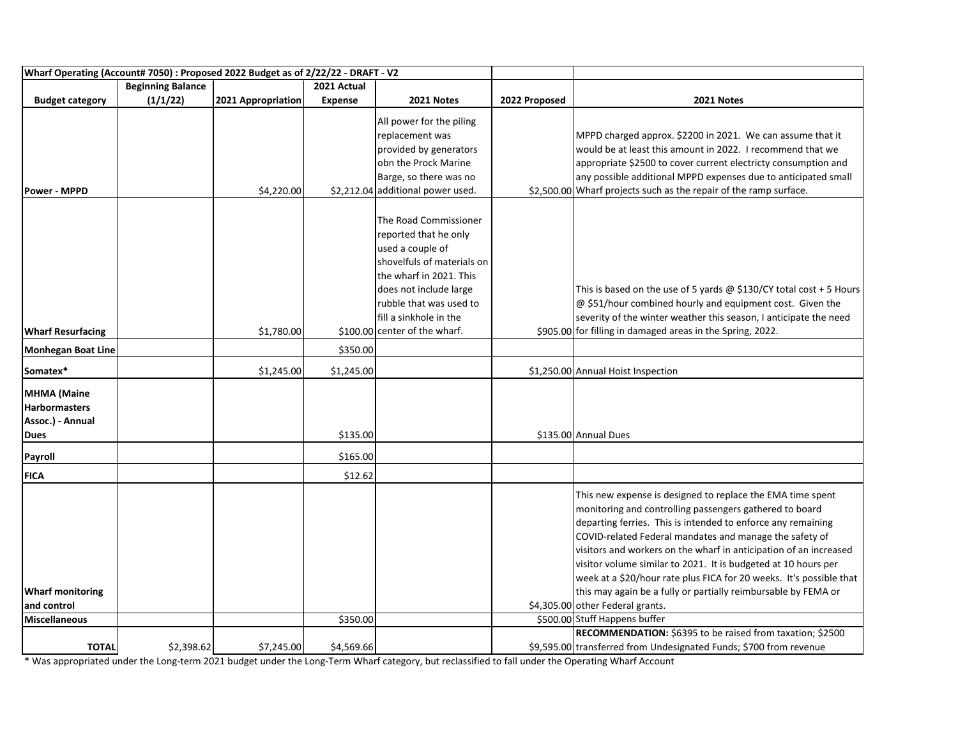| Wharf Operating (Account# 7050) : Proposed 2022 Budget as of 2/22/22 - DRAFT - V2 |                          |                    |                |                                   |               |                                                                                                                                                                                                                                                  |
|-----------------------------------------------------------------------------------|--------------------------|--------------------|----------------|-----------------------------------|---------------|--------------------------------------------------------------------------------------------------------------------------------------------------------------------------------------------------------------------------------------------------|
|                                                                                   | <b>Beginning Balance</b> |                    | 2021 Actual    |                                   |               |                                                                                                                                                                                                                                                  |
| <b>Budget category</b>                                                            | (1/1/22)                 | 2021 Appropriation | <b>Expense</b> | 2021 Notes                        | 2022 Proposed | 2021 Notes                                                                                                                                                                                                                                       |
|                                                                                   |                          |                    |                | All power for the piling          |               |                                                                                                                                                                                                                                                  |
|                                                                                   |                          |                    |                | replacement was                   |               | MPPD charged approx. \$2200 in 2021. We can assume that it                                                                                                                                                                                       |
|                                                                                   |                          |                    |                | provided by generators            |               | would be at least this amount in 2022. I recommend that we                                                                                                                                                                                       |
|                                                                                   |                          |                    |                | obn the Prock Marine              |               | appropriate \$2500 to cover current electricty consumption and                                                                                                                                                                                   |
|                                                                                   |                          |                    |                | Barge, so there was no            |               | any possible additional MPPD expenses due to anticipated small                                                                                                                                                                                   |
| <b>Power - MPPD</b>                                                               |                          | \$4,220.00         |                | \$2,212.04 additional power used. |               | \$2,500.00 Wharf projects such as the repair of the ramp surface.                                                                                                                                                                                |
|                                                                                   |                          |                    |                |                                   |               |                                                                                                                                                                                                                                                  |
|                                                                                   |                          |                    |                | The Road Commissioner             |               |                                                                                                                                                                                                                                                  |
|                                                                                   |                          |                    |                | reported that he only             |               |                                                                                                                                                                                                                                                  |
|                                                                                   |                          |                    |                | used a couple of                  |               |                                                                                                                                                                                                                                                  |
|                                                                                   |                          |                    |                | shovelfuls of materials on        |               |                                                                                                                                                                                                                                                  |
|                                                                                   |                          |                    |                | the wharf in 2021. This           |               |                                                                                                                                                                                                                                                  |
|                                                                                   |                          |                    |                | does not include large            |               | This is based on the use of 5 yards $@$ \$130/CY total cost + 5 Hours                                                                                                                                                                            |
|                                                                                   |                          |                    |                | rubble that was used to           |               | @ \$51/hour combined hourly and equipment cost. Given the                                                                                                                                                                                        |
|                                                                                   |                          |                    |                | fill a sinkhole in the            |               | severity of the winter weather this season, I anticipate the need                                                                                                                                                                                |
| <b>Wharf Resurfacing</b>                                                          |                          | \$1,780.00         |                | \$100.00 center of the wharf.     |               | \$905.00 for filling in damaged areas in the Spring, 2022.                                                                                                                                                                                       |
| <b>Monhegan Boat Line</b>                                                         |                          |                    | \$350.00       |                                   |               |                                                                                                                                                                                                                                                  |
| Somatex*                                                                          |                          | \$1,245.00         | \$1,245.00     |                                   |               | \$1,250.00 Annual Hoist Inspection                                                                                                                                                                                                               |
| <b>MHMA</b> (Maine                                                                |                          |                    |                |                                   |               |                                                                                                                                                                                                                                                  |
| <b>Harbormasters</b>                                                              |                          |                    |                |                                   |               |                                                                                                                                                                                                                                                  |
| Assoc.) - Annual                                                                  |                          |                    |                |                                   |               |                                                                                                                                                                                                                                                  |
| <b>Dues</b>                                                                       |                          |                    | \$135.00       |                                   |               | \$135.00 Annual Dues                                                                                                                                                                                                                             |
| Payroll                                                                           |                          |                    | \$165.00       |                                   |               |                                                                                                                                                                                                                                                  |
| <b>FICA</b>                                                                       |                          |                    | \$12.62        |                                   |               |                                                                                                                                                                                                                                                  |
|                                                                                   |                          |                    |                |                                   |               | This new expense is designed to replace the EMA time spent<br>monitoring and controlling passengers gathered to board<br>departing ferries. This is intended to enforce any remaining<br>COVID-related Federal mandates and manage the safety of |
|                                                                                   |                          |                    |                |                                   |               | visitors and workers on the wharf in anticipation of an increased                                                                                                                                                                                |
|                                                                                   |                          |                    |                |                                   |               | visitor volume similar to 2021. It is budgeted at 10 hours per                                                                                                                                                                                   |
|                                                                                   |                          |                    |                |                                   |               | week at a \$20/hour rate plus FICA for 20 weeks. It's possible that                                                                                                                                                                              |
| <b>Wharf monitoring</b>                                                           |                          |                    |                |                                   |               | this may again be a fully or partially reimbursable by FEMA or                                                                                                                                                                                   |
| and control                                                                       |                          |                    |                |                                   |               | \$4,305.00 other Federal grants.                                                                                                                                                                                                                 |
| <b>Miscellaneous</b>                                                              |                          |                    | \$350.00       |                                   |               | \$500.00 Stuff Happens buffer                                                                                                                                                                                                                    |
|                                                                                   |                          |                    |                |                                   |               | RECOMMENDATION: \$6395 to be raised from taxation; \$2500                                                                                                                                                                                        |
| <b>TOTAL</b>                                                                      | \$2,398.62               | \$7,245.00         | \$4,569.66     |                                   |               | \$9,595.00 transferred from Undesignated Funds; \$700 from revenue                                                                                                                                                                               |

\* Was appropriated under the Long-term 2021 budget under the Long-Term Wharf category, but reclassified to fall under the Operating Wharf Account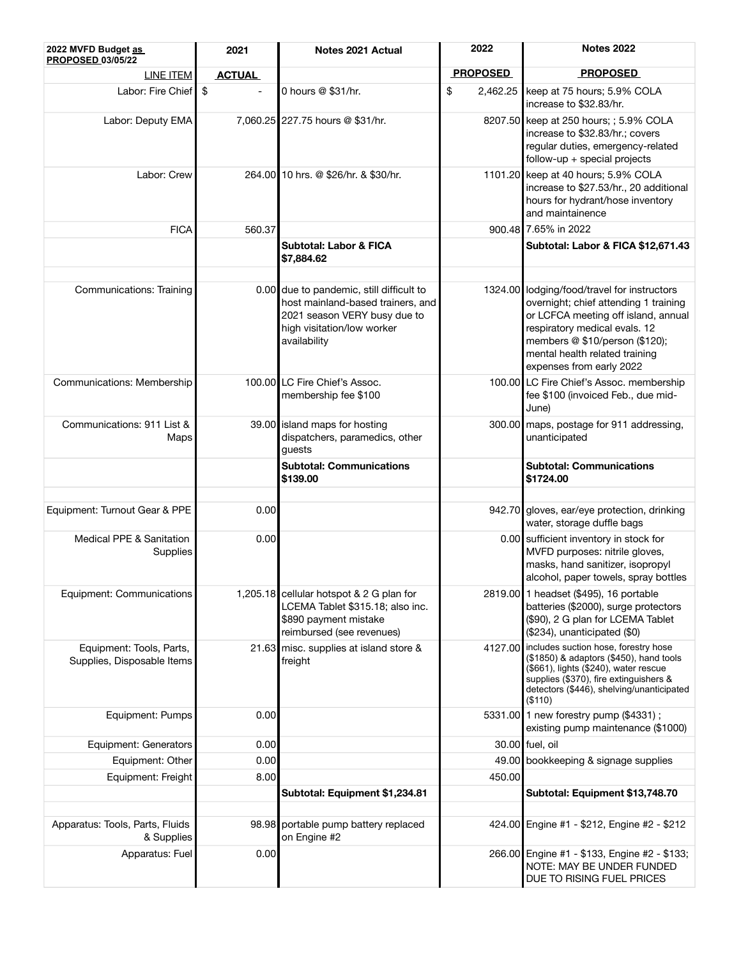| 2022 MVFD Budget as<br>PROPOSED 03/05/22               | 2021          | Notes 2021 Actual                                                                                                                                           | 2022            | <b>Notes 2022</b>                                                                                                                                                                                                                                            |  |  |
|--------------------------------------------------------|---------------|-------------------------------------------------------------------------------------------------------------------------------------------------------------|-----------------|--------------------------------------------------------------------------------------------------------------------------------------------------------------------------------------------------------------------------------------------------------------|--|--|
| LINE ITEM                                              | <b>ACTUAL</b> |                                                                                                                                                             | <b>PROPOSED</b> | <b>PROPOSED</b>                                                                                                                                                                                                                                              |  |  |
| Labor: Fire Chief \$                                   |               | 0 hours @ \$31/hr.                                                                                                                                          | \$<br>2,462.25  | keep at 75 hours; 5.9% COLA<br>increase to \$32.83/hr.                                                                                                                                                                                                       |  |  |
| Labor: Deputy EMA                                      |               | 7,060.25 227.75 hours @ \$31/hr.                                                                                                                            |                 | 8207.50 keep at 250 hours; ; 5.9% COLA<br>increase to \$32.83/hr.; covers<br>regular duties, emergency-related<br>$follow-up + special projects$                                                                                                             |  |  |
| Labor: Crew                                            |               | 264.00 10 hrs. @ \$26/hr. & \$30/hr.                                                                                                                        |                 | 1101.20 keep at 40 hours; 5.9% COLA<br>increase to \$27.53/hr., 20 additional<br>hours for hydrant/hose inventory<br>and maintainence                                                                                                                        |  |  |
| <b>FICA</b>                                            | 560.37        |                                                                                                                                                             |                 | 900.48 7.65% in 2022                                                                                                                                                                                                                                         |  |  |
|                                                        |               | Subtotal: Labor & FICA<br>\$7,884.62                                                                                                                        |                 | Subtotal: Labor & FICA \$12,671.43                                                                                                                                                                                                                           |  |  |
|                                                        |               |                                                                                                                                                             |                 |                                                                                                                                                                                                                                                              |  |  |
| Communications: Training                               |               | 0.00 due to pandemic, still difficult to<br>host mainland-based trainers, and<br>2021 season VERY busy due to<br>high visitation/low worker<br>availability |                 | 1324.00 lodging/food/travel for instructors<br>overnight; chief attending 1 training<br>or LCFCA meeting off island, annual<br>respiratory medical evals. 12<br>members @ \$10/person (\$120);<br>mental health related training<br>expenses from early 2022 |  |  |
| Communications: Membership                             |               | 100.00 LC Fire Chief's Assoc.<br>membership fee \$100                                                                                                       |                 | 100.00 LC Fire Chief's Assoc. membership<br>fee \$100 (invoiced Feb., due mid-<br>June)                                                                                                                                                                      |  |  |
| Communications: 911 List &<br>Maps                     |               | 39.00 island maps for hosting<br>dispatchers, paramedics, other<br>guests                                                                                   |                 | 300.00 maps, postage for 911 addressing,<br>unanticipated                                                                                                                                                                                                    |  |  |
|                                                        |               | <b>Subtotal: Communications</b><br>\$139.00                                                                                                                 |                 | <b>Subtotal: Communications</b><br>\$1724.00                                                                                                                                                                                                                 |  |  |
|                                                        |               |                                                                                                                                                             |                 |                                                                                                                                                                                                                                                              |  |  |
| Equipment: Turnout Gear & PPE                          | 0.00          |                                                                                                                                                             |                 | 942.70 gloves, ear/eye protection, drinking<br>water, storage duffle bags                                                                                                                                                                                    |  |  |
| Medical PPE & Sanitation<br>Supplies                   | 0.00          |                                                                                                                                                             |                 | 0.00 sufficient inventory in stock for<br>MVFD purposes: nitrile gloves,<br>masks, hand sanitizer, isopropyl<br>alcohol, paper towels, spray bottles                                                                                                         |  |  |
| Equipment: Communications                              |               | 1,205.18 cellular hotspot & 2 G plan for<br>LCEMA Tablet \$315.18; also inc.<br>\$890 payment mistake<br>reimbursed (see revenues)                          |                 | 2819.00 1 headset (\$495), 16 portable<br>batteries (\$2000), surge protectors<br>(\$90), 2 G plan for LCEMA Tablet<br>(\$234), unanticipated (\$0)                                                                                                          |  |  |
| Equipment: Tools, Parts,<br>Supplies, Disposable Items |               | 21.63 misc. supplies at island store &<br>freight                                                                                                           | 4127.00         | includes suction hose, forestry hose<br>(\$1850) & adaptors (\$450), hand tools<br>(\$661), lights (\$240), water rescue<br>supplies (\$370), fire extinguishers &<br>detectors (\$446), shelving/unanticipated<br>(\$110)                                   |  |  |
| Equipment: Pumps                                       | 0.00          |                                                                                                                                                             |                 | 5331.00 1 new forestry pump (\$4331);<br>existing pump maintenance (\$1000)                                                                                                                                                                                  |  |  |
| Equipment: Generators                                  | 0.00          |                                                                                                                                                             |                 | 30.00 fuel, oil                                                                                                                                                                                                                                              |  |  |
| Equipment: Other                                       | 0.00          |                                                                                                                                                             |                 | 49.00 bookkeeping & signage supplies                                                                                                                                                                                                                         |  |  |
| Equipment: Freight                                     | 8.00          |                                                                                                                                                             | 450.00          |                                                                                                                                                                                                                                                              |  |  |
|                                                        |               | Subtotal: Equipment \$1,234.81                                                                                                                              |                 | Subtotal: Equipment \$13,748.70                                                                                                                                                                                                                              |  |  |
|                                                        |               |                                                                                                                                                             |                 |                                                                                                                                                                                                                                                              |  |  |
| Apparatus: Tools, Parts, Fluids<br>& Supplies          |               | 98.98 portable pump battery replaced<br>on Engine #2                                                                                                        |                 | 424.00 Engine #1 - \$212, Engine #2 - \$212                                                                                                                                                                                                                  |  |  |
| Apparatus: Fuel                                        | 0.00          |                                                                                                                                                             |                 | 266.00 Engine #1 - \$133, Engine #2 - \$133;<br>NOTE: MAY BE UNDER FUNDED<br>DUE TO RISING FUEL PRICES                                                                                                                                                       |  |  |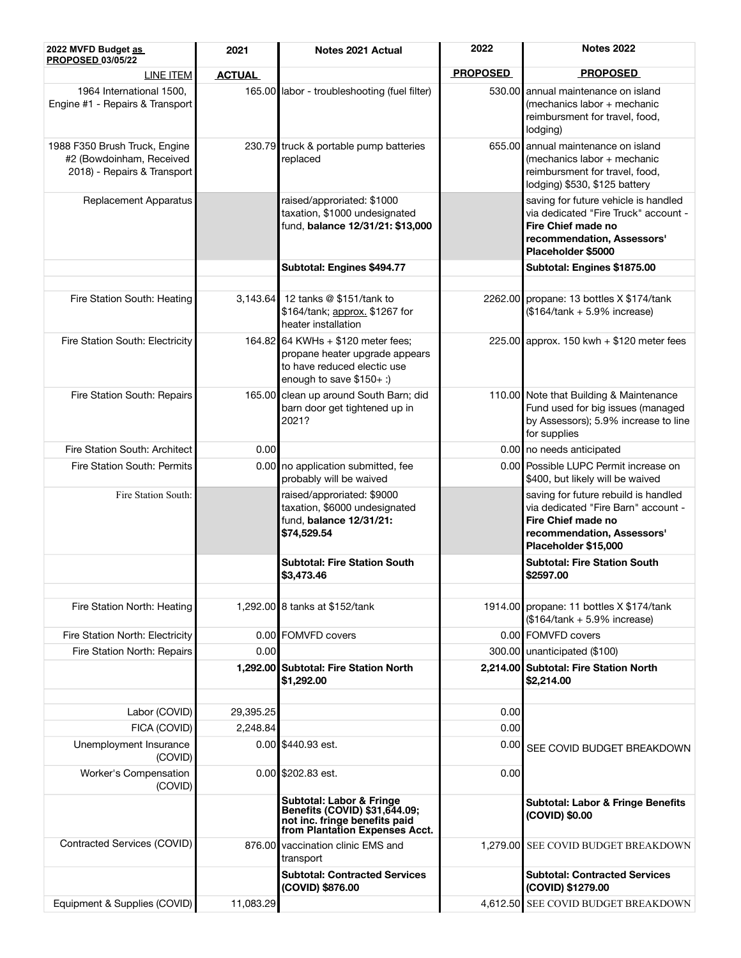| 2022 MVFD Budget as<br><b>PROPOSED 03/05/22</b>                                          | 2021          | Notes 2021 Actual                                                                                                                | 2022            | <b>Notes 2022</b>                                                                                                                                       |  |  |
|------------------------------------------------------------------------------------------|---------------|----------------------------------------------------------------------------------------------------------------------------------|-----------------|---------------------------------------------------------------------------------------------------------------------------------------------------------|--|--|
| <b>LINE ITEM</b>                                                                         | <b>ACTUAL</b> |                                                                                                                                  | <b>PROPOSED</b> | <b>PROPOSED</b>                                                                                                                                         |  |  |
| 1964 International 1500,<br>Engine #1 - Repairs & Transport                              |               | 165.00 labor - troubleshooting (fuel filter)                                                                                     |                 | 530.00 annual maintenance on island<br>(mechanics labor + mechanic<br>reimbursment for travel, food,<br>lodging)                                        |  |  |
| 1988 F350 Brush Truck, Engine<br>#2 (Bowdoinham, Received<br>2018) - Repairs & Transport |               | 230.79 truck & portable pump batteries<br>replaced                                                                               |                 | 655.00 annual maintenance on island<br>(mechanics labor + mechanic<br>reimbursment for travel, food,<br>lodging) \$530, \$125 battery                   |  |  |
| Replacement Apparatus                                                                    |               | raised/approriated: \$1000<br>taxation, \$1000 undesignated<br>fund, balance 12/31/21: \$13,000                                  |                 | saving for future vehicle is handled<br>via dedicated "Fire Truck" account -<br>Fire Chief made no<br>recommendation, Assessors'<br>Placeholder \$5000  |  |  |
|                                                                                          |               | Subtotal: Engines \$494.77                                                                                                       |                 | Subtotal: Engines \$1875.00                                                                                                                             |  |  |
| Fire Station South: Heating                                                              | 3,143.64      | 12 tanks @ \$151/tank to<br>\$164/tank; approx. \$1267 for<br>heater installation                                                |                 | 2262.00 propane: 13 bottles X \$174/tank<br>$($164/tank + 5.9\%$ increase)                                                                              |  |  |
| Fire Station South: Electricity                                                          |               | 164.82 64 KWHs + \$120 meter fees;<br>propane heater upgrade appears<br>to have reduced electic use<br>enough to save $$150+$ :) |                 | 225.00 approx. 150 kwh $+$ \$120 meter fees                                                                                                             |  |  |
| Fire Station South: Repairs                                                              |               | 165.00 clean up around South Barn; did<br>barn door get tightened up in<br>2021?                                                 |                 | 110.00 Note that Building & Maintenance<br>Fund used for big issues (managed<br>by Assessors); 5.9% increase to line<br>for supplies                    |  |  |
| Fire Station South: Architect                                                            | 0.00          |                                                                                                                                  |                 | 0.00 no needs anticipated                                                                                                                               |  |  |
| Fire Station South: Permits                                                              | 0.00          | no application submitted, fee<br>probably will be waived                                                                         |                 | 0.00 Possible LUPC Permit increase on<br>\$400, but likely will be waived                                                                               |  |  |
| Fire Station South:                                                                      |               | raised/approriated: \$9000<br>taxation, \$6000 undesignated<br>fund, balance 12/31/21:<br>\$74,529.54                            |                 | saving for future rebuild is handled<br>via dedicated "Fire Barn" account -<br>Fire Chief made no<br>recommendation, Assessors'<br>Placeholder \$15,000 |  |  |
|                                                                                          |               | <b>Subtotal: Fire Station South</b><br>\$3,473.46                                                                                |                 | <b>Subtotal: Fire Station South</b><br>\$2597.00                                                                                                        |  |  |
|                                                                                          |               |                                                                                                                                  |                 |                                                                                                                                                         |  |  |
| Fire Station North: Heating                                                              |               | 1,292.00 8 tanks at \$152/tank                                                                                                   |                 | 1914.00 propane: 11 bottles X \$174/tank<br>$($164/tank + 5.9\%$ increase)                                                                              |  |  |
| Fire Station North: Electricity                                                          |               | 0.00 FOMVFD covers                                                                                                               |                 | 0.00 FOMVFD covers                                                                                                                                      |  |  |
| Fire Station North: Repairs                                                              | 0.00          |                                                                                                                                  |                 | 300.00 unanticipated (\$100)                                                                                                                            |  |  |
|                                                                                          |               | 1,292.00 Subtotal: Fire Station North<br>\$1,292.00                                                                              |                 | 2,214.00 Subtotal: Fire Station North<br>\$2,214.00                                                                                                     |  |  |
| Labor (COVID)                                                                            | 29,395.25     |                                                                                                                                  | 0.00            |                                                                                                                                                         |  |  |
| FICA (COVID)                                                                             | 2,248.84      |                                                                                                                                  | 0.00            |                                                                                                                                                         |  |  |
| Unemployment Insurance<br>(COVID)                                                        |               | 0.00 \$440.93 est.<br>0.00                                                                                                       |                 | SEE COVID BUDGET BREAKDOWN                                                                                                                              |  |  |
| Worker's Compensation<br>(COVID)                                                         |               | 0.00 \$202.83 est.                                                                                                               | 0.00            |                                                                                                                                                         |  |  |
|                                                                                          |               | Subtotal: Labor & Fringe<br>Benefits (COVID) \$31,644.09;<br>not inc. fringe benefits paid<br>from Plantation Expenses Acct.     |                 | <b>Subtotal: Labor &amp; Fringe Benefits</b><br>(COVID) \$0.00                                                                                          |  |  |
| Contracted Services (COVID)                                                              |               | 876.00 vaccination clinic EMS and<br>transport                                                                                   |                 | 1,279.00 SEE COVID BUDGET BREAKDOWN                                                                                                                     |  |  |
|                                                                                          |               | <b>Subtotal: Contracted Services</b><br>(COVID) \$876.00                                                                         |                 | <b>Subtotal: Contracted Services</b><br>(COVID) \$1279.00                                                                                               |  |  |
| Equipment & Supplies (COVID)                                                             | 11,083.29     |                                                                                                                                  | 4,612.50        | SEE COVID BUDGET BREAKDOWN                                                                                                                              |  |  |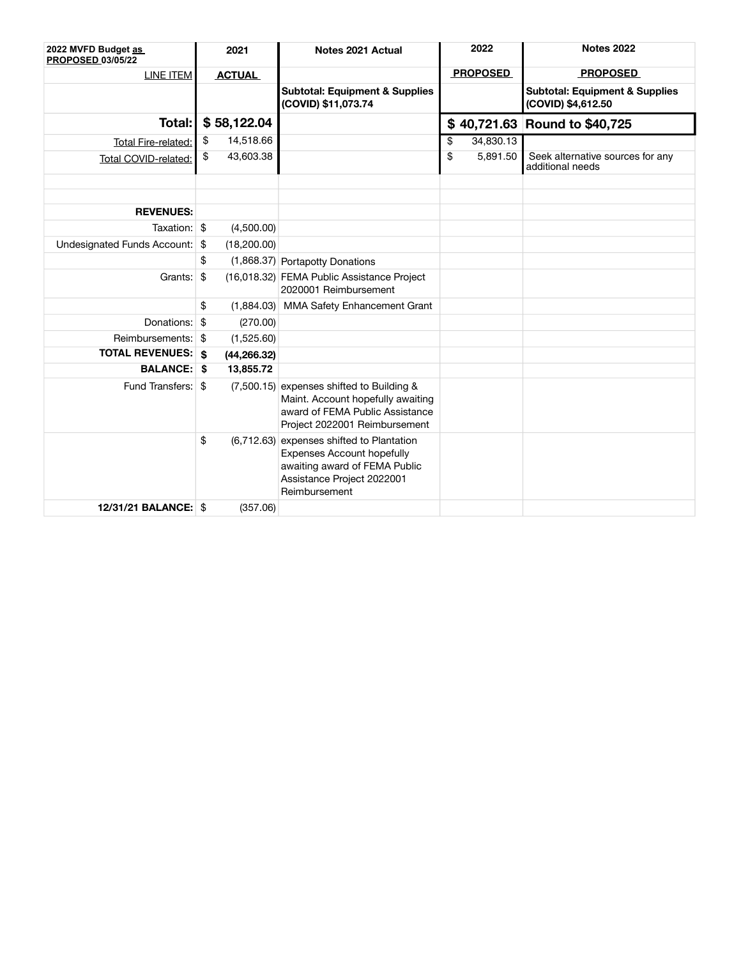| 2022 MVFD Budget as<br>PROPOSED 03/05/22 |    | 2021          | Notes 2021 Actual                                                                                                                                              | 2022            | <b>Notes 2022</b>                                               |  |  |
|------------------------------------------|----|---------------|----------------------------------------------------------------------------------------------------------------------------------------------------------------|-----------------|-----------------------------------------------------------------|--|--|
| <b>LINE ITEM</b>                         |    | <b>ACTUAL</b> |                                                                                                                                                                | <b>PROPOSED</b> | <b>PROPOSED</b>                                                 |  |  |
|                                          |    |               | <b>Subtotal: Equipment &amp; Supplies</b><br>(COVID) \$11,073.74                                                                                               |                 | <b>Subtotal: Equipment &amp; Supplies</b><br>(COVID) \$4,612.50 |  |  |
| Total:                                   |    | \$58,122.04   |                                                                                                                                                                |                 | \$40,721.63 Round to \$40,725                                   |  |  |
| Total Fire-related:                      | \$ | 14,518.66     |                                                                                                                                                                | \$<br>34,830.13 |                                                                 |  |  |
| Total COVID-related:                     | \$ | 43,603.38     |                                                                                                                                                                | \$<br>5,891.50  | Seek alternative sources for any<br>additional needs            |  |  |
|                                          |    |               |                                                                                                                                                                |                 |                                                                 |  |  |
| <b>REVENUES:</b>                         |    |               |                                                                                                                                                                |                 |                                                                 |  |  |
| Taxation: \$                             |    | (4,500.00)    |                                                                                                                                                                |                 |                                                                 |  |  |
| Undesignated Funds Account: \$           |    | (18,200.00)   |                                                                                                                                                                |                 |                                                                 |  |  |
|                                          | \$ |               | (1,868.37) Portapotty Donations                                                                                                                                |                 |                                                                 |  |  |
| Grants: \$                               |    |               | (16,018.32) FEMA Public Assistance Project<br>2020001 Reimbursement                                                                                            |                 |                                                                 |  |  |
|                                          | \$ | (1,884.03)    | MMA Safety Enhancement Grant                                                                                                                                   |                 |                                                                 |  |  |
| Donations: \$                            |    | (270.00)      |                                                                                                                                                                |                 |                                                                 |  |  |
| Reimbursements: \$                       |    | (1,525.60)    |                                                                                                                                                                |                 |                                                                 |  |  |
| <b>TOTAL REVENUES:   \$</b>              |    | (44, 266.32)  |                                                                                                                                                                |                 |                                                                 |  |  |
| <b>BALANCE: \$</b>                       |    | 13,855.72     |                                                                                                                                                                |                 |                                                                 |  |  |
| Fund Transfers: \$                       |    |               | (7,500.15) expenses shifted to Building &<br>Maint. Account hopefully awaiting<br>award of FEMA Public Assistance<br>Project 2022001 Reimbursement             |                 |                                                                 |  |  |
|                                          | \$ |               | (6,712.63) expenses shifted to Plantation<br><b>Expenses Account hopefully</b><br>awaiting award of FEMA Public<br>Assistance Project 2022001<br>Reimbursement |                 |                                                                 |  |  |
| <b>12/31/21 BALANCE: \$</b>              |    | (357.06)      |                                                                                                                                                                |                 |                                                                 |  |  |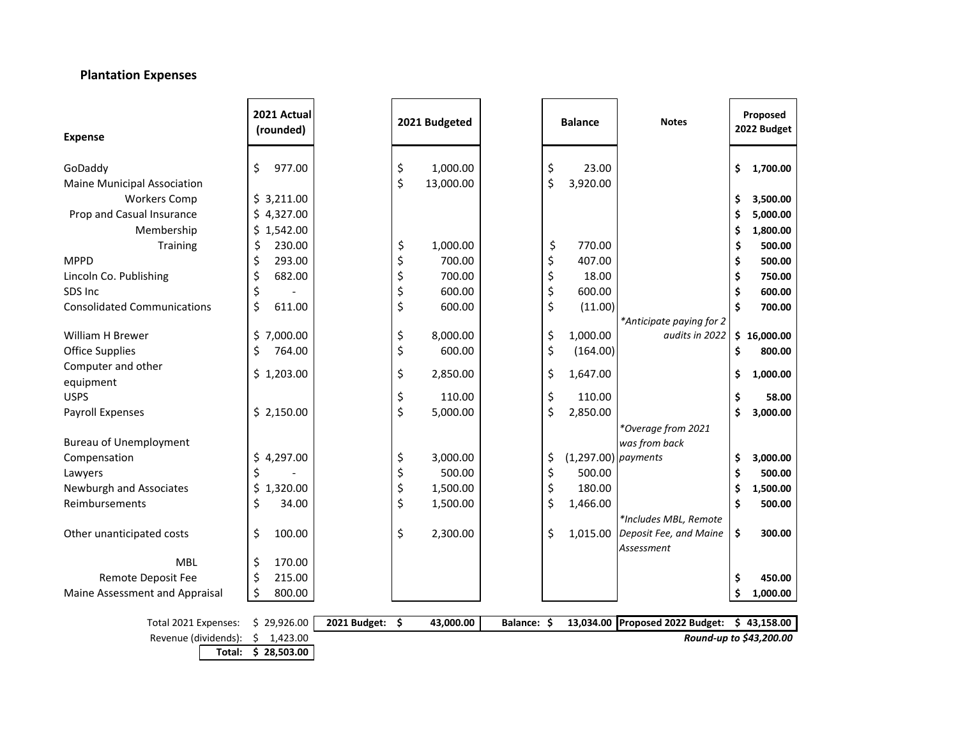## **Plantation Expenses**

| <b>Expense</b>                                       | 2021 Actual<br>(rounded) |              |          | 2021 Budgeted |             | <b>Balance</b>              | <b>Notes</b>             |         | Proposed<br>2022 Budget |
|------------------------------------------------------|--------------------------|--------------|----------|---------------|-------------|-----------------------------|--------------------------|---------|-------------------------|
|                                                      | \$<br>977.00             |              |          | 1,000.00      |             | \$<br>23.00                 |                          |         | 1,700.00                |
| GoDaddy<br><b>Maine Municipal Association</b>        |                          |              | \$<br>\$ | 13,000.00     |             | \$<br>3,920.00              |                          | \$      |                         |
| <b>Workers Comp</b>                                  | \$3,211.00               |              |          |               |             |                             |                          | \$      | 3,500.00                |
| Prop and Casual Insurance                            | \$4,327.00               |              |          |               |             |                             |                          | \$      | 5,000.00                |
| Membership                                           | \$1,542.00               |              |          |               |             |                             |                          | \$      | 1,800.00                |
| Training                                             | \$<br>230.00             |              | \$       | 1,000.00      |             | \$<br>770.00                |                          | \$      | 500.00                  |
| <b>MPPD</b>                                          | \$<br>293.00             |              | \$       | 700.00        |             | \$<br>407.00                |                          | \$      | 500.00                  |
| Lincoln Co. Publishing                               | \$<br>682.00             |              | \$       | 700.00        |             | \$<br>18.00                 |                          | \$      | 750.00                  |
| SDS Inc.                                             | \$                       |              | \$       | 600.00        |             | \$<br>600.00                |                          | \$      | 600.00                  |
| <b>Consolidated Communications</b>                   | \$<br>611.00             |              | \$       | 600.00        |             | \$<br>(11.00)               |                          | Ś       | 700.00                  |
|                                                      |                          |              |          |               |             |                             | *Anticipate paying for 2 |         |                         |
| <b>William H Brewer</b>                              | \$7,000.00               |              | \$       | 8,000.00      |             | \$<br>1,000.00              | audits in 2022           |         | \$16,000.00             |
| <b>Office Supplies</b>                               | \$<br>764.00             |              | \$       | 600.00        |             | \$<br>(164.00)              |                          | \$      | 800.00                  |
| Computer and other                                   | \$1,203.00               |              | \$       | 2,850.00      |             | \$<br>1,647.00              |                          | \$      | 1,000.00                |
| equipment                                            |                          |              |          |               |             |                             |                          |         |                         |
| <b>USPS</b>                                          |                          |              | \$       | 110.00        |             | \$<br>110.00                |                          | \$      | 58.00                   |
| Payroll Expenses                                     | \$2,150.00               |              | \$       | 5,000.00      |             | \$<br>2,850.00              |                          | Ś       | 3,000.00                |
|                                                      |                          |              |          |               |             |                             | *Overage from 2021       |         |                         |
| <b>Bureau of Unemployment</b>                        |                          |              |          |               |             |                             | was from back            |         |                         |
| Compensation                                         | \$4,297.00               |              | \$       | 3,000.00      |             | \$<br>$(1,297.00)$ payments |                          | \$      | 3,000.00                |
| Lawyers                                              | \$                       |              | \$       | 500.00        |             | \$<br>500.00                |                          | \$      | 500.00                  |
| Newburgh and Associates                              | \$<br>1,320.00           |              | \$       | 1,500.00      |             | \$<br>180.00                |                          | \$      | 1,500.00                |
| Reimbursements                                       | \$<br>34.00              |              | \$       | 1,500.00      |             | \$<br>1,466.00              |                          | \$      | 500.00                  |
|                                                      |                          |              |          |               |             |                             | *Includes MBL, Remote    |         |                         |
| Other unanticipated costs                            | \$<br>100.00             |              | \$       | 2,300.00      |             | \$<br>1,015.00              | Deposit Fee, and Maine   | \$      | 300.00                  |
| <b>MBL</b>                                           | 170.00                   |              |          |               |             |                             | Assessment               |         |                         |
|                                                      | \$<br>\$<br>215.00       |              |          |               |             |                             |                          |         |                         |
| Remote Deposit Fee<br>Maine Assessment and Appraisal | \$<br>800.00             |              |          |               |             |                             |                          | \$<br>Ś | 450.00                  |
|                                                      |                          |              |          |               |             |                             |                          |         | 1,000.00                |
| Total 2021 Expenses:                                 | \$29,926.00              | 2021 Budget: | \$       | 43,000.00     | Balance: \$ | 13,034.00                   | Proposed 2022 Budget:    |         | \$43,158.00             |
| Revenue (dividends):                                 | \$<br>1,423.00           |              |          |               |             |                             |                          |         | Round-up to \$43,200.00 |
|                                                      | Total: \$ 28,503.00      |              |          |               |             |                             |                          |         |                         |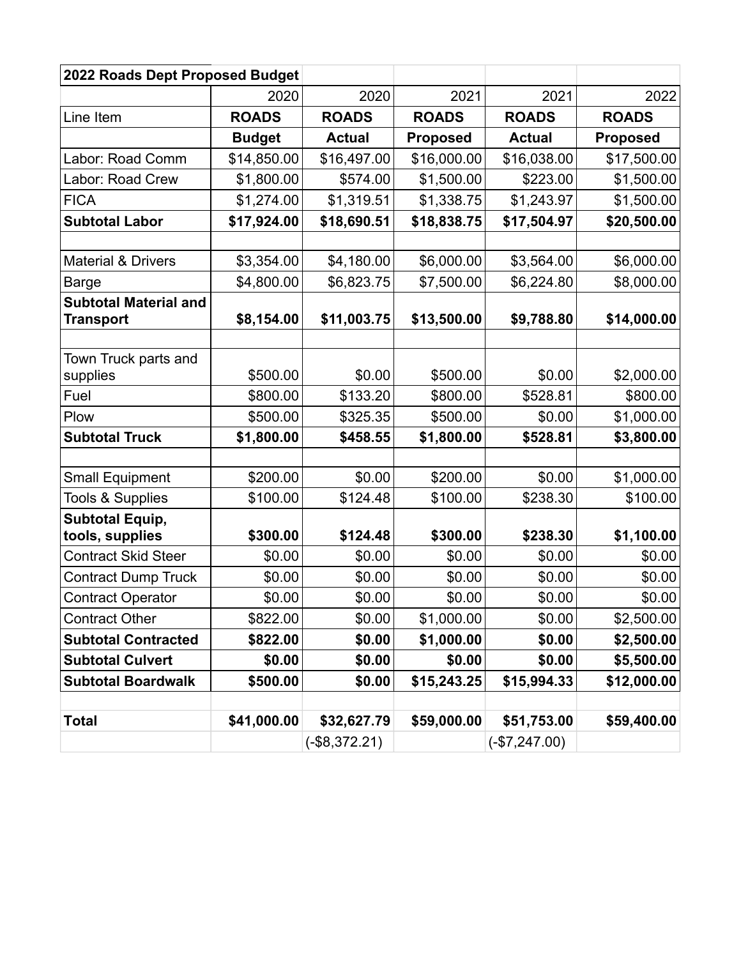| 2022 Roads Dept Proposed Budget                     |                    |                |                    |                    |                      |  |
|-----------------------------------------------------|--------------------|----------------|--------------------|--------------------|----------------------|--|
|                                                     | 2020               | 2020           | 2021               | 2021               | 2022                 |  |
| Line Item                                           | <b>ROADS</b>       | <b>ROADS</b>   | <b>ROADS</b>       | <b>ROADS</b>       | <b>ROADS</b>         |  |
|                                                     | <b>Budget</b>      | <b>Actual</b>  | <b>Proposed</b>    | <b>Actual</b>      | <b>Proposed</b>      |  |
| Labor: Road Comm                                    | \$14,850.00        | \$16,497.00    | \$16,000.00        | \$16,038.00        | \$17,500.00          |  |
| Labor: Road Crew                                    | \$1,800.00         | \$574.00       | \$1,500.00         | \$223.00           | \$1,500.00           |  |
| <b>FICA</b>                                         | \$1,274.00         | \$1,319.51     | \$1,338.75         | \$1,243.97         | \$1,500.00           |  |
| <b>Subtotal Labor</b>                               | \$17,924.00        | \$18,690.51    | \$18,838.75        | \$17,504.97        | \$20,500.00          |  |
|                                                     |                    |                |                    |                    |                      |  |
| <b>Material &amp; Drivers</b>                       | \$3,354.00         | \$4,180.00     | \$6,000.00         | \$3,564.00         | \$6,000.00           |  |
| <b>Barge</b>                                        | \$4,800.00         | \$6,823.75     | \$7,500.00         | \$6,224.80         | \$8,000.00           |  |
| <b>Subtotal Material and</b><br><b>Transport</b>    | \$8,154.00         | \$11,003.75    | \$13,500.00        | \$9,788.80         | \$14,000.00          |  |
|                                                     |                    |                |                    |                    |                      |  |
| Town Truck parts and                                |                    |                |                    |                    |                      |  |
| supplies                                            | \$500.00           | \$0.00         | \$500.00           | \$0.00             | \$2,000.00           |  |
| Fuel                                                | \$800.00           | \$133.20       | \$800.00           | \$528.81           | \$800.00             |  |
| Plow                                                | \$500.00           | \$325.35       | \$500.00           | \$0.00             | \$1,000.00           |  |
| <b>Subtotal Truck</b>                               | \$1,800.00         | \$458.55       | \$1,800.00         | \$528.81           | \$3,800.00           |  |
|                                                     |                    |                |                    |                    |                      |  |
| <b>Small Equipment</b>                              | \$200.00           | \$0.00         | \$200.00           | \$0.00             | \$1,000.00           |  |
| <b>Tools &amp; Supplies</b>                         | \$100.00           | \$124.48       | \$100.00           | \$238.30           | \$100.00             |  |
| <b>Subtotal Equip,</b>                              |                    | \$124.48       |                    |                    |                      |  |
| tools, supplies<br><b>Contract Skid Steer</b>       | \$300.00<br>\$0.00 | \$0.00         | \$300.00<br>\$0.00 | \$238.30<br>\$0.00 | \$1,100.00<br>\$0.00 |  |
|                                                     | \$0.00             | \$0.00         | \$0.00             | \$0.00             | \$0.00               |  |
| <b>Contract Dump Truck</b>                          | \$0.00             | \$0.00         | \$0.00             | \$0.00             | \$0.00               |  |
| <b>Contract Operator</b>                            |                    |                |                    |                    |                      |  |
| <b>Contract Other</b><br><b>Subtotal Contracted</b> | \$822.00           | \$0.00         | \$1,000.00         | \$0.00             | \$2,500.00           |  |
|                                                     | \$822.00           | \$0.00         | \$1,000.00         | \$0.00             | \$2,500.00           |  |
| <b>Subtotal Culvert</b>                             | \$0.00             | \$0.00         | \$0.00             | \$0.00             | \$5,500.00           |  |
| <b>Subtotal Boardwalk</b>                           | \$500.00           | \$0.00         | \$15,243.25        | \$15,994.33        | \$12,000.00          |  |
| <b>Total</b>                                        | \$41,000.00        | \$32,627.79    | \$59,000.00        | \$51,753.00        | \$59,400.00          |  |
|                                                     |                    | $(-$8,372.21)$ |                    | $(-\$7,247.00)$    |                      |  |